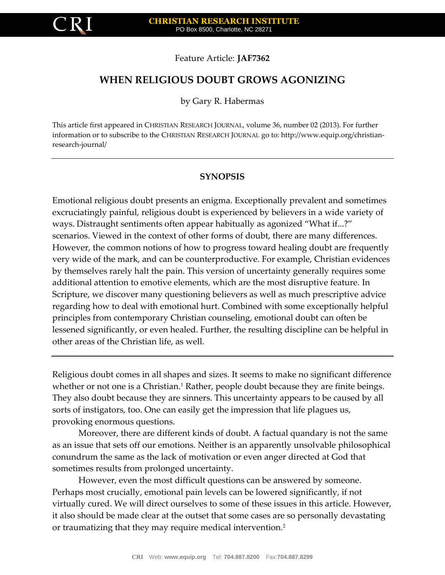

## Feature Article: **JAF7362**

# **WHEN RELIGIOUS DOUBT GROWS AGONIZING**

by Gary R. Habermas

This article first appeared in CHRISTIAN RESEARCH JOURNAL, volume 36, number 02 (2013). For further information or to subscribe to the CHRISTIAN RESEARCH JOURNAL go to: http://www.equip.org/christianresearch-journal/

## **SYNOPSIS**

Emotional religious doubt presents an enigma. Exceptionally prevalent and sometimes excruciatingly painful, religious doubt is experienced by believers in a wide variety of ways. Distraught sentiments often appear habitually as agonized "What if...?" scenarios. Viewed in the context of other forms of doubt, there are many differences. However, the common notions of how to progress toward healing doubt are frequently very wide of the mark, and can be counterproductive. For example, Christian evidences by themselves rarely halt the pain. This version of uncertainty generally requires some additional attention to emotive elements, which are the most disruptive feature. In Scripture, we discover many questioning believers as well as much prescriptive advice regarding how to deal with emotional hurt. Combined with some exceptionally helpful principles from contemporary Christian counseling, emotional doubt can often be lessened significantly, or even healed. Further, the resulting discipline can be helpful in other areas of the Christian life, as well.

Religious doubt comes in all shapes and sizes. It seems to make no significant difference whether or not one is a Christian.<sup>1</sup> Rather, people doubt because they are finite beings. They also doubt because they are sinners. This uncertainty appears to be caused by all sorts of instigators, too. One can easily get the impression that life plagues us, provoking enormous questions.

Moreover, there are different kinds of doubt. A factual quandary is not the same as an issue that sets off our emotions. Neither is an apparently unsolvable philosophical conundrum the same as the lack of motivation or even anger directed at God that sometimes results from prolonged uncertainty.

However, even the most difficult questions can be answered by someone. Perhaps most crucially, emotional pain levels can be lowered significantly, if not virtually cured. We will direct ourselves to some of these issues in this article. However, it also should be made clear at the outset that some cases are so personally devastating or traumatizing that they may require medical intervention.2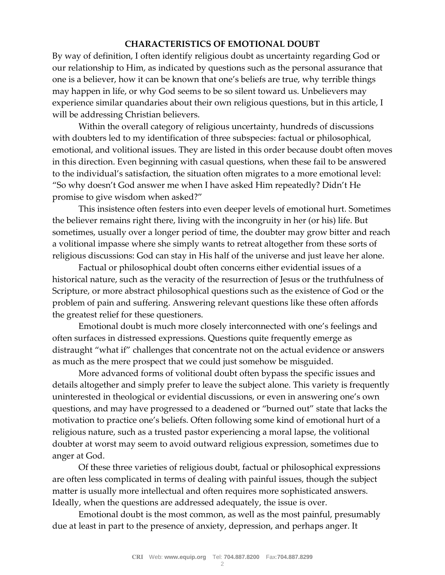## **CHARACTERISTICS OF EMOTIONAL DOUBT**

By way of definition, I often identify religious doubt as uncertainty regarding God or our relationship to Him, as indicated by questions such as the personal assurance that one is a believer, how it can be known that one's beliefs are true, why terrible things may happen in life, or why God seems to be so silent toward us. Unbelievers may experience similar quandaries about their own religious questions, but in this article, I will be addressing Christian believers.

Within the overall category of religious uncertainty, hundreds of discussions with doubters led to my identification of three subspecies: factual or philosophical, emotional, and volitional issues. They are listed in this order because doubt often moves in this direction. Even beginning with casual questions, when these fail to be answered to the individual's satisfaction, the situation often migrates to a more emotional level: "So why doesn't God answer me when I have asked Him repeatedly? Didn't He promise to give wisdom when asked?"

This insistence often festers into even deeper levels of emotional hurt. Sometimes the believer remains right there, living with the incongruity in her (or his) life. But sometimes, usually over a longer period of time, the doubter may grow bitter and reach a volitional impasse where she simply wants to retreat altogether from these sorts of religious discussions: God can stay in His half of the universe and just leave her alone.

Factual or philosophical doubt often concerns either evidential issues of a historical nature, such as the veracity of the resurrection of Jesus or the truthfulness of Scripture, or more abstract philosophical questions such as the existence of God or the problem of pain and suffering. Answering relevant questions like these often affords the greatest relief for these questioners.

Emotional doubt is much more closely interconnected with one's feelings and often surfaces in distressed expressions. Questions quite frequently emerge as distraught "what if" challenges that concentrate not on the actual evidence or answers as much as the mere prospect that we could just somehow be misguided.

More advanced forms of volitional doubt often bypass the specific issues and details altogether and simply prefer to leave the subject alone. This variety is frequently uninterested in theological or evidential discussions, or even in answering one's own questions, and may have progressed to a deadened or "burned out" state that lacks the motivation to practice one's beliefs. Often following some kind of emotional hurt of a religious nature, such as a trusted pastor experiencing a moral lapse, the volitional doubter at worst may seem to avoid outward religious expression, sometimes due to anger at God.

Of these three varieties of religious doubt, factual or philosophical expressions are often less complicated in terms of dealing with painful issues, though the subject matter is usually more intellectual and often requires more sophisticated answers. Ideally, when the questions are addressed adequately, the issue is over.

Emotional doubt is the most common, as well as the most painful, presumably due at least in part to the presence of anxiety, depression, and perhaps anger. It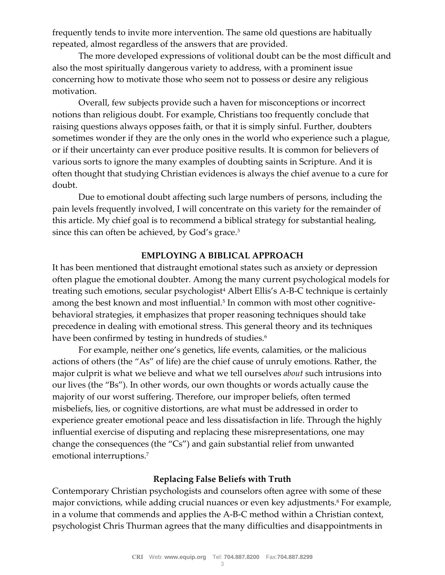frequently tends to invite more intervention. The same old questions are habitually repeated, almost regardless of the answers that are provided.

The more developed expressions of volitional doubt can be the most difficult and also the most spiritually dangerous variety to address, with a prominent issue concerning how to motivate those who seem not to possess or desire any religious motivation.

Overall, few subjects provide such a haven for misconceptions or incorrect notions than religious doubt. For example, Christians too frequently conclude that raising questions always opposes faith, or that it is simply sinful. Further, doubters sometimes wonder if they are the only ones in the world who experience such a plague, or if their uncertainty can ever produce positive results. It is common for believers of various sorts to ignore the many examples of doubting saints in Scripture. And it is often thought that studying Christian evidences is always the chief avenue to a cure for doubt.

Due to emotional doubt affecting such large numbers of persons, including the pain levels frequently involved, I will concentrate on this variety for the remainder of this article. My chief goal is to recommend a biblical strategy for substantial healing, since this can often be achieved, by God's grace.<sup>3</sup>

## **EMPLOYING A BIBLICAL APPROACH**

It has been mentioned that distraught emotional states such as anxiety or depression often plague the emotional doubter. Among the many current psychological models for treating such emotions, secular psychologist<sup>4</sup> Albert Ellis's A-B-C technique is certainly among the best known and most influential.<sup>5</sup> In common with most other cognitivebehavioral strategies, it emphasizes that proper reasoning techniques should take precedence in dealing with emotional stress. This general theory and its techniques have been confirmed by testing in hundreds of studies.<sup>6</sup>

For example, neither one's genetics, life events, calamities, or the malicious actions of others (the "As" of life) are the chief cause of unruly emotions. Rather, the major culprit is what we believe and what we tell ourselves *about* such intrusions into our lives (the "Bs"). In other words, our own thoughts or words actually cause the majority of our worst suffering. Therefore, our improper beliefs, often termed misbeliefs, lies, or cognitive distortions, are what must be addressed in order to experience greater emotional peace and less dissatisfaction in life. Through the highly influential exercise of disputing and replacing these misrepresentations, one may change the consequences (the "Cs") and gain substantial relief from unwanted emotional interruptions.<sup>7</sup>

## **Replacing False Beliefs with Truth**

Contemporary Christian psychologists and counselors often agree with some of these major convictions, while adding crucial nuances or even key adjustments.<sup>8</sup> For example, in a volume that commends and applies the A-B-C method within a Christian context, psychologist Chris Thurman agrees that the many difficulties and disappointments in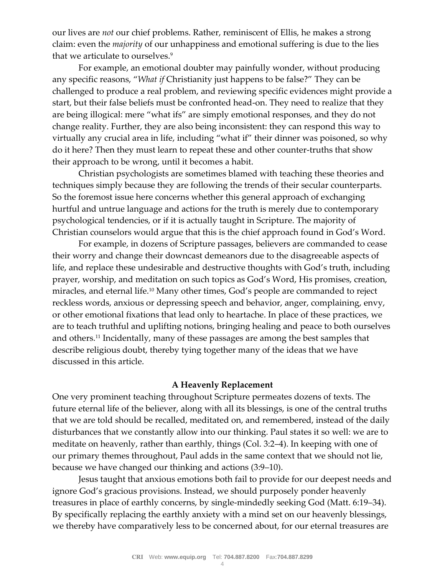our lives are *not* our chief problems. Rather, reminiscent of Ellis, he makes a strong claim: even the *majority* of our unhappiness and emotional suffering is due to the lies that we articulate to ourselves.<sup>9</sup>

For example, an emotional doubter may painfully wonder, without producing any specific reasons, "*What if* Christianity just happens to be false?" They can be challenged to produce a real problem, and reviewing specific evidences might provide a start, but their false beliefs must be confronted head-on. They need to realize that they are being illogical: mere "what ifs" are simply emotional responses, and they do not change reality. Further, they are also being inconsistent: they can respond this way to virtually any crucial area in life, including "what if" their dinner was poisoned, so why do it here? Then they must learn to repeat these and other counter-truths that show their approach to be wrong, until it becomes a habit.

Christian psychologists are sometimes blamed with teaching these theories and techniques simply because they are following the trends of their secular counterparts. So the foremost issue here concerns whether this general approach of exchanging hurtful and untrue language and actions for the truth is merely due to contemporary psychological tendencies, or if it is actually taught in Scripture. The majority of Christian counselors would argue that this is the chief approach found in God's Word.

For example, in dozens of Scripture passages, believers are commanded to cease their worry and change their downcast demeanors due to the disagreeable aspects of life, and replace these undesirable and destructive thoughts with God's truth, including prayer, worship, and meditation on such topics as God's Word, His promises, creation, miracles, and eternal life.<sup>10</sup> Many other times, God's people are commanded to reject reckless words, anxious or depressing speech and behavior, anger, complaining, envy, or other emotional fixations that lead only to heartache. In place of these practices, we are to teach truthful and uplifting notions, bringing healing and peace to both ourselves and others.<sup>11</sup> Incidentally, many of these passages are among the best samples that describe religious doubt, thereby tying together many of the ideas that we have discussed in this article.

#### **A Heavenly Replacement**

One very prominent teaching throughout Scripture permeates dozens of texts. The future eternal life of the believer, along with all its blessings, is one of the central truths that we are told should be recalled, meditated on, and remembered, instead of the daily disturbances that we constantly allow into our thinking. Paul states it so well: we are to meditate on heavenly, rather than earthly, things (Col. 3:2–4). In keeping with one of our primary themes throughout, Paul adds in the same context that we should not lie, because we have changed our thinking and actions (3:9–10).

Jesus taught that anxious emotions both fail to provide for our deepest needs and ignore God's gracious provisions. Instead, we should purposely ponder heavenly treasures in place of earthly concerns, by single-mindedly seeking God (Matt. 6:19–34). By specifically replacing the earthly anxiety with a mind set on our heavenly blessings, we thereby have comparatively less to be concerned about, for our eternal treasures are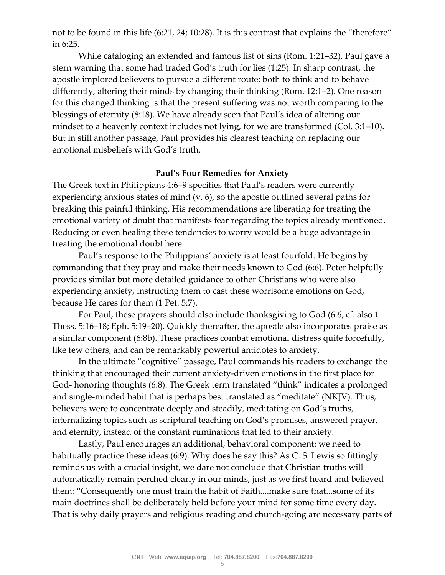not to be found in this life (6:21, 24; 10:28). It is this contrast that explains the "therefore" in 6:25.

While cataloging an extended and famous list of sins (Rom. 1:21–32), Paul gave a stern warning that some had traded God's truth for lies (1:25). In sharp contrast, the apostle implored believers to pursue a different route: both to think and to behave differently, altering their minds by changing their thinking (Rom. 12:1–2). One reason for this changed thinking is that the present suffering was not worth comparing to the blessings of eternity (8:18). We have already seen that Paul's idea of altering our mindset to a heavenly context includes not lying, for we are transformed (Col. 3:1–10). But in still another passage, Paul provides his clearest teaching on replacing our emotional misbeliefs with God's truth.

### **Paul's Four Remedies for Anxiety**

The Greek text in Philippians 4:6–9 specifies that Paul's readers were currently experiencing anxious states of mind (v. 6), so the apostle outlined several paths for breaking this painful thinking. His recommendations are liberating for treating the emotional variety of doubt that manifests fear regarding the topics already mentioned. Reducing or even healing these tendencies to worry would be a huge advantage in treating the emotional doubt here.

Paul's response to the Philippians' anxiety is at least fourfold. He begins by commanding that they pray and make their needs known to God (6:6). Peter helpfully provides similar but more detailed guidance to other Christians who were also experiencing anxiety, instructing them to cast these worrisome emotions on God, because He cares for them (1 Pet. 5:7).

For Paul, these prayers should also include thanksgiving to God (6:6; cf. also 1 Thess. 5:16–18; Eph. 5:19–20). Quickly thereafter, the apostle also incorporates praise as a similar component (6:8b). These practices combat emotional distress quite forcefully, like few others, and can be remarkably powerful antidotes to anxiety.

In the ultimate "cognitive" passage, Paul commands his readers to exchange the thinking that encouraged their current anxiety-driven emotions in the first place for God- honoring thoughts (6:8). The Greek term translated "think" indicates a prolonged and single-minded habit that is perhaps best translated as "meditate" (NKJV). Thus, believers were to concentrate deeply and steadily, meditating on God's truths, internalizing topics such as scriptural teaching on God's promises, answered prayer, and eternity, instead of the constant ruminations that led to their anxiety.

Lastly, Paul encourages an additional, behavioral component: we need to habitually practice these ideas (6:9). Why does he say this? As C. S. Lewis so fittingly reminds us with a crucial insight, we dare not conclude that Christian truths will automatically remain perched clearly in our minds, just as we first heard and believed them: "Consequently one must train the habit of Faith....make sure that...some of its main doctrines shall be deliberately held before your mind for some time every day. That is why daily prayers and religious reading and church-going are necessary parts of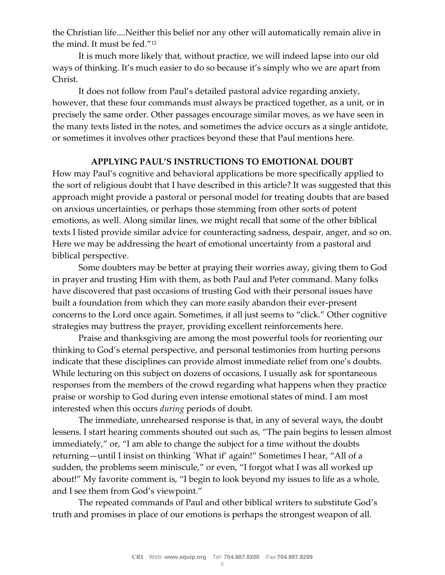the Christian life....Neither this belief nor any other will automatically remain alive in the mind. It must be fed."<sup>12</sup>

It is much more likely that, without practice, we will indeed lapse into our old ways of thinking. It's much easier to do so because it's simply who we are apart from Christ.

It does not follow from Paul's detailed pastoral advice regarding anxiety, however, that these four commands must always be practiced together, as a unit, or in precisely the same order. Other passages encourage similar moves, as we have seen in the many texts listed in the notes, and sometimes the advice occurs as a single antidote, or sometimes it involves other practices beyond these that Paul mentions here.

## **APPLYING PAUL'S INSTRUCTIONS TO EMOTIONAL DOUBT**

How may Paul's cognitive and behavioral applications be more specifically applied to the sort of religious doubt that I have described in this article? It was suggested that this approach might provide a pastoral or personal model for treating doubts that are based on anxious uncertainties, or perhaps those stemming from other sorts of potent emotions, as well. Along similar lines, we might recall that some of the other biblical texts I listed provide similar advice for counteracting sadness, despair, anger, and so on. Here we may be addressing the heart of emotional uncertainty from a pastoral and biblical perspective.

Some doubters may be better at praying their worries away, giving them to God in prayer and trusting Him with them, as both Paul and Peter command. Many folks have discovered that past occasions of trusting God with their personal issues have built a foundation from which they can more easily abandon their ever-present concerns to the Lord once again. Sometimes, it all just seems to "click." Other cognitive strategies may buttress the prayer, providing excellent reinforcements here.

Praise and thanksgiving are among the most powerful tools for reorienting our thinking to God's eternal perspective, and personal testimonies from hurting persons indicate that these disciplines can provide almost immediate relief from one's doubts. While lecturing on this subject on dozens of occasions, I usually ask for spontaneous responses from the members of the crowd regarding what happens when they practice praise or worship to God during even intense emotional states of mind. I am most interested when this occurs *during* periods of doubt.

The immediate, unrehearsed response is that, in any of several ways, the doubt lessens. I start hearing comments shouted out such as, "The pain begins to lessen almost immediately," or, "I am able to change the subject for a time without the doubts returning—until I insist on thinking `What if' again!" Sometimes I hear, "All of a sudden, the problems seem miniscule," or even, "I forgot what I was all worked up about!" My favorite comment is, "I begin to look beyond my issues to life as a whole, and I see them from God's viewpoint."

The repeated commands of Paul and other biblical writers to substitute God's truth and promises in place of our emotions is perhaps the strongest weapon of all.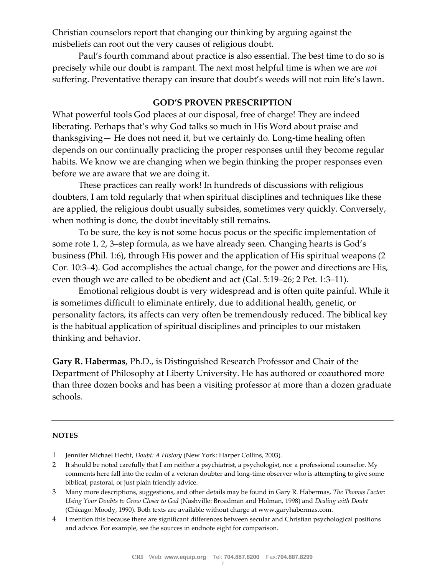Christian counselors report that changing our thinking by arguing against the misbeliefs can root out the very causes of religious doubt.

Paul's fourth command about practice is also essential. The best time to do so is precisely while our doubt is rampant. The next most helpful time is when we are *not* suffering. Preventative therapy can insure that doubt's weeds will not ruin life's lawn.

### **GOD'S PROVEN PRESCRIPTION**

What powerful tools God places at our disposal, free of charge! They are indeed liberating. Perhaps that's why God talks so much in His Word about praise and thanksgiving— He does not need it, but we certainly do. Long-time healing often depends on our continually practicing the proper responses until they become regular habits. We know we are changing when we begin thinking the proper responses even before we are aware that we are doing it.

These practices can really work! In hundreds of discussions with religious doubters, I am told regularly that when spiritual disciplines and techniques like these are applied, the religious doubt usually subsides, sometimes very quickly. Conversely, when nothing is done, the doubt inevitably still remains.

To be sure, the key is not some hocus pocus or the specific implementation of some rote 1, 2, 3–step formula, as we have already seen. Changing hearts is God's business (Phil. 1:6), through His power and the application of His spiritual weapons (2 Cor. 10:3–4). God accomplishes the actual change, for the power and directions are His, even though we are called to be obedient and act (Gal. 5:19–26; 2 Pet. 1:3–11).

Emotional religious doubt is very widespread and is often quite painful. While it is sometimes difficult to eliminate entirely, due to additional health, genetic, or personality factors, its affects can very often be tremendously reduced. The biblical key is the habitual application of spiritual disciplines and principles to our mistaken thinking and behavior.

**Gary R. Habermas**, Ph.D., is Distinguished Research Professor and Chair of the Department of Philosophy at Liberty University. He has authored or coauthored more than three dozen books and has been a visiting professor at more than a dozen graduate schools.

#### **NOTES**

- 1 Jennifer Michael Hecht, *Doubt: A History* (New York: Harper Collins, 2003).
- 2 It should be noted carefully that I am neither a psychiatrist, a psychologist, nor a professional counselor. My comments here fall into the realm of a veteran doubter and long-time observer who is attempting to give some biblical, pastoral, or just plain friendly advice.
- 3 Many more descriptions, suggestions, and other details may be found in Gary R. Habermas, *The Thomas Factor: Using Your Doubts to Grow Closer to God* (Nashville: Broadman and Holman, 1998) and *Dealing with Doubt* (Chicago: Moody, 1990). Both texts are available without charge at www.garyhabermas.com.
- 4 I mention this because there are significant differences between secular and Christian psychological positions and advice. For example, see the sources in endnote eight for comparison.